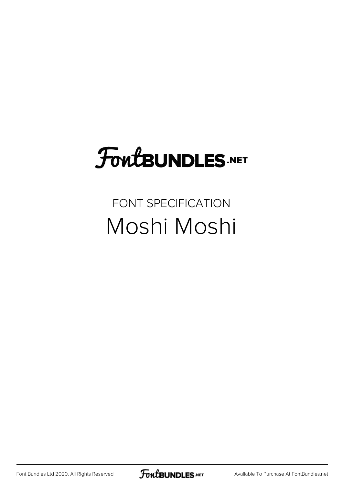# FoutBUNDLES.NET

#### FONT SPECIFICATION Moshi Moshi

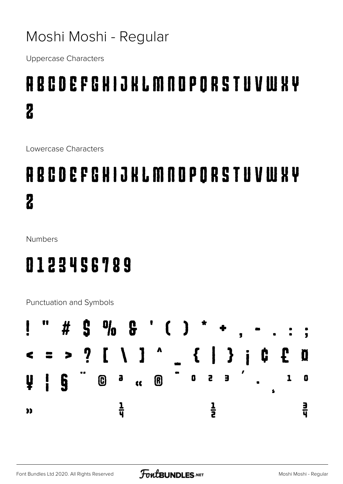#### Moshi Moshi - Regular

Uppercase Characters

### ABCDEFGHIJKLMNOPQRSTUVWXY Z

Lowercase Characters

## abcdefghijklmnopqrstuvwxy z

Numbers

#### 0123456789

Punctuation and Symbols

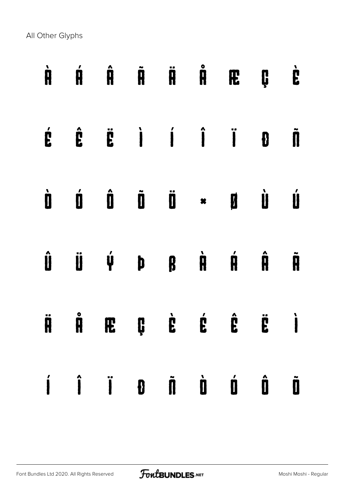All Other Glyphs

|  |  |  | À Á Â Ã Ä Ä Æ Ç È                                                                                                                                                                                                                                                                     |  |
|--|--|--|---------------------------------------------------------------------------------------------------------------------------------------------------------------------------------------------------------------------------------------------------------------------------------------|--|
|  |  |  | $\begin{array}{ccccccccccccccccc} \acute{E} & \hat{E} & \hat{E} & \dot{I} & \dot{I} & \dot{I} & \dot{I} & \dot{B} & \ddot{I} \end{array}$                                                                                                                                             |  |
|  |  |  |                                                                                                                                                                                                                                                                                       |  |
|  |  |  | $\begin{array}{ccccccccccccccccc} \hat{\mathbf{U}} & \hat{\mathbf{U}} & \hat{\mathbf{U}} & \hat{\mathbf{V}} & \mathbf{D} & \mathbf{D} & \mathbf{B} & \hat{\mathbf{H}} & \hat{\mathbf{H}} & \hat{\mathbf{H}} & \hat{\mathbf{H}} & \hat{\mathbf{H}} & \end{array}$                      |  |
|  |  |  | $\ddot{\mathbf{H}} \quad \mathring{\mathbf{H}} \quad \mathring{\mathbf{H}} \quad \mathbf{E} \quad \mathbf{E} \quad \mathring{\mathbf{E}} \quad \mathring{\mathbf{E}} \quad \mathring{\mathbf{E}} \quad \mathring{\mathbf{E}} \quad \mathring{\mathbf{E}} \quad \mathring{\mathbf{I}}$ |  |
|  |  |  |                                                                                                                                                                                                                                                                                       |  |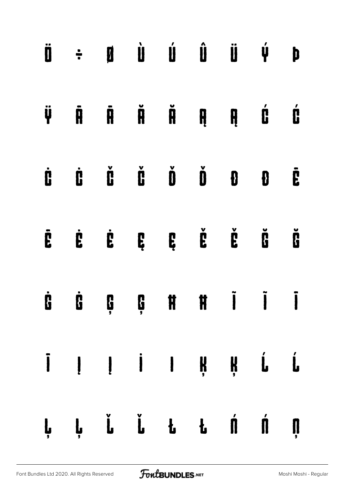|   | $\ddot{\mathbf{u}} \quad \ddot{\mathbf{u}} \quad \dot{\mathbf{u}} \quad \dot{\mathbf{u}} \quad \dot{\mathbf{u}} \quad \dot{\mathbf{u}} \quad \dot{\mathbf{u}} \quad \dot{\mathbf{u}} \quad \dot{\mathbf{v}}$                                                                                                                                                                                     |  |                                                                                                                                                                                                                                                                                                                                                                                                                                                                                          |  |                                                                     | þ                    |
|---|--------------------------------------------------------------------------------------------------------------------------------------------------------------------------------------------------------------------------------------------------------------------------------------------------------------------------------------------------------------------------------------------------|--|------------------------------------------------------------------------------------------------------------------------------------------------------------------------------------------------------------------------------------------------------------------------------------------------------------------------------------------------------------------------------------------------------------------------------------------------------------------------------------------|--|---------------------------------------------------------------------|----------------------|
| Ÿ | $\ddot{\mathbf{R}}$                                                                                                                                                                                                                                                                                                                                                                              |  | $\begin{array}{ccccccccccccccccc} \tilde{\mathbf{H}} & \tilde{\mathbf{H}} & \tilde{\mathbf{H}} & \tilde{\mathbf{H}} & \mathbf{H} & \tilde{\mathbf{H}} & \tilde{\mathbf{H}} & \tilde{\mathbf{H}} & \tilde{\mathbf{H}} & \tilde{\mathbf{H}} & \tilde{\mathbf{H}} & \tilde{\mathbf{H}} & \tilde{\mathbf{H}} & \tilde{\mathbf{H}} & \tilde{\mathbf{H}} & \tilde{\mathbf{H}} & \tilde{\mathbf{H}} & \tilde{\mathbf{H}} & \tilde{\mathbf{H}} & \tilde{\mathbf{H}} & \tilde{\mathbf{H}} & \til$ |  |                                                                     | Ć                    |
| Ċ | Ď Ď Ď                                                                                                                                                                                                                                                                                                                                                                                            |  |                                                                                                                                                                                                                                                                                                                                                                                                                                                                                          |  | $\check{\mathbf{D}}$ $\check{\mathbf{D}}$ $\mathbf{D}$ $\mathbf{D}$ | Ė                    |
|   |                                                                                                                                                                                                                                                                                                                                                                                                  |  |                                                                                                                                                                                                                                                                                                                                                                                                                                                                                          |  |                                                                     | $\check{\mathbf{g}}$ |
|   | <b>G G G H H I I I</b>                                                                                                                                                                                                                                                                                                                                                                           |  |                                                                                                                                                                                                                                                                                                                                                                                                                                                                                          |  |                                                                     |                      |
|   | $\begin{array}{ccccccccccccccccc} \bar{I} & I & I & I & \bar{I} & \bar{I} & \bar{I} & \bar{I} & \bar{I} & \bar{I} & \bar{I} & \bar{I} & \bar{I} & \bar{I} & \bar{I} & \bar{I} & \bar{I} & \bar{I} & \bar{I} & \bar{I} & \bar{I} & \bar{I} & \bar{I} & \bar{I} & \bar{I} & \bar{I} & \bar{I} & \bar{I} & \bar{I} & \bar{I} & \bar{I} & \bar{I} & \bar{I} & \bar{I} & \bar{I} & \bar{I} & \bar{I}$ |  |                                                                                                                                                                                                                                                                                                                                                                                                                                                                                          |  |                                                                     |                      |
|   | ĻĻ Ľ Ľ Ł Ł Ń Ń Ņ                                                                                                                                                                                                                                                                                                                                                                                 |  |                                                                                                                                                                                                                                                                                                                                                                                                                                                                                          |  |                                                                     |                      |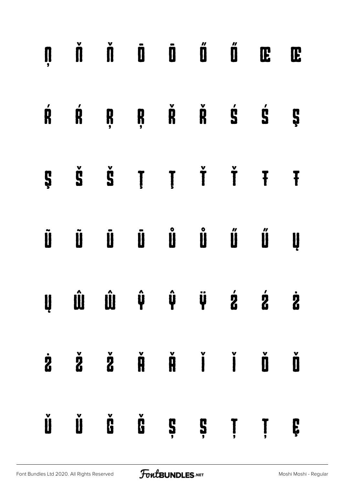|   | $\begin{array}{ccccccccccccccccc} \textbf{N} & \textbf{N} & \textbf{N} & \textbf{N} & \textbf{N} & \textbf{N} & \textbf{N} & \textbf{N} & \textbf{N} & \textbf{N} & \textbf{N} & \textbf{N} & \textbf{N} & \textbf{N} & \textbf{N} & \textbf{N} & \textbf{N} & \textbf{N} & \textbf{N} & \textbf{N} & \textbf{N} & \textbf{N} & \textbf{N} & \textbf{N} & \textbf{N} & \textbf{N} & \textbf{N} & \textbf{N} & \textbf{N} & \textbf{N}$ |  |  |   |
|---|----------------------------------------------------------------------------------------------------------------------------------------------------------------------------------------------------------------------------------------------------------------------------------------------------------------------------------------------------------------------------------------------------------------------------------------|--|--|---|
|   | $\begin{array}{ccccccccccccccccc} \mathring{R} & \mathring{R} & \mathring{R} & \mathring{R} & \mathring{R} & \mathring{R} & \mathring{S} & \mathring{S} & \mathring{S} & \end{array}$                                                                                                                                                                                                                                                  |  |  |   |
|   | $\begin{array}{ccccccccccccccccc}\n\mathbf{S} & \mathbf{S} & \mathbf{S} & \mathbf{I} & \mathbf{I} & \mathbf{I} & \mathbf{I} & \mathbf{I} & \mathbf{I} & \mathbf{I}\n\end{array}$                                                                                                                                                                                                                                                       |  |  |   |
|   |                                                                                                                                                                                                                                                                                                                                                                                                                                        |  |  |   |
|   | $\begin{array}{ccccccccccccccccc} \mathbf{U} & \mathbf{U} & \mathbf{U} & \mathbf{U} & \mathbf{V} & \mathbf{V} & \mathbf{V} & \mathbf{V} & \mathbf{V} & \mathbf{V} & \mathbf{V} & \mathbf{V} & \mathbf{V} & \mathbf{V} & \mathbf{V} & \mathbf{V} & \mathbf{V} & \mathbf{V} & \mathbf{V} & \mathbf{V} & \mathbf{V} & \mathbf{V} & \mathbf{V} & \mathbf{V} & \mathbf{V} & \mathbf{V} & \mathbf{V} & \mathbf{V} & \mathbf{V} & \mathbf{V}$ |  |  |   |
|   | $\dot{z}$ $\dot{z}$ $\dot{z}$ $\dot{\theta}$ $\dot{\theta}$ $\dot{\theta}$ $\dot{\theta}$ $\dot{\theta}$                                                                                                                                                                                                                                                                                                                               |  |  |   |
| Ŭ |                                                                                                                                                                                                                                                                                                                                                                                                                                        |  |  | Ç |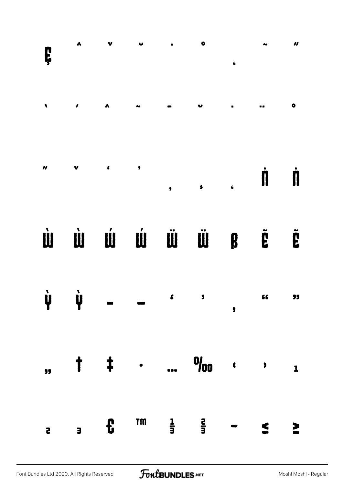|                             |                    |                                                                                                                                                                                                                                                                                                                                                                                      |    |                             |   |                                           | $\boldsymbol{H}$ |
|-----------------------------|--------------------|--------------------------------------------------------------------------------------------------------------------------------------------------------------------------------------------------------------------------------------------------------------------------------------------------------------------------------------------------------------------------------------|----|-----------------------------|---|-------------------------------------------|------------------|
|                             |                    |                                                                                                                                                                                                                                                                                                                                                                                      |    |                             |   |                                           |                  |
|                             |                    |                                                                                                                                                                                                                                                                                                                                                                                      |    |                             |   |                                           |                  |
|                             |                    |                                                                                                                                                                                                                                                                                                                                                                                      |    | Ù Ù Ú Ú Ű Ű Ű Ő F Ë         |   |                                           |                  |
| $\dot{\mathbf{\mathsf{Y}}}$ | $\dot{\mathbf{y}}$ | $\overline{a}$ $\overline{a}$ $\overline{a}$ $\overline{a}$ $\overline{a}$ $\overline{a}$ $\overline{a}$ $\overline{a}$ $\overline{a}$ $\overline{a}$ $\overline{a}$ $\overline{a}$ $\overline{a}$ $\overline{a}$ $\overline{a}$ $\overline{a}$ $\overline{a}$ $\overline{a}$ $\overline{a}$ $\overline{a}$ $\overline{a}$ $\overline{a}$ $\overline{a}$ $\overline{a}$ $\overline{$ |    |                             | , |                                           | 33               |
| $\overline{\mathbf{52}}$    |                    |                                                                                                                                                                                                                                                                                                                                                                                      |    |                             |   | $\frac{1}{2}$ $\frac{1}{2}$ $\frac{1}{2}$ |                  |
|                             |                    |                                                                                                                                                                                                                                                                                                                                                                                      | TM | $\frac{1}{3}$ $\frac{2}{3}$ |   |                                           |                  |